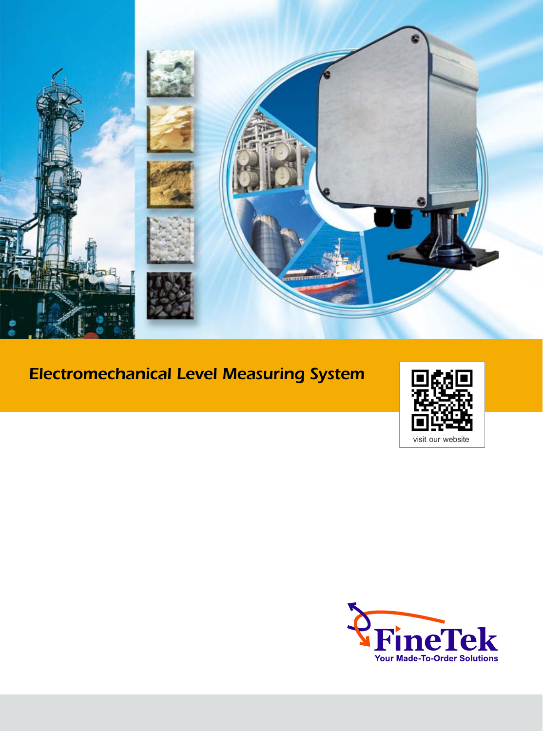

## Electromechanical Level Measuring System



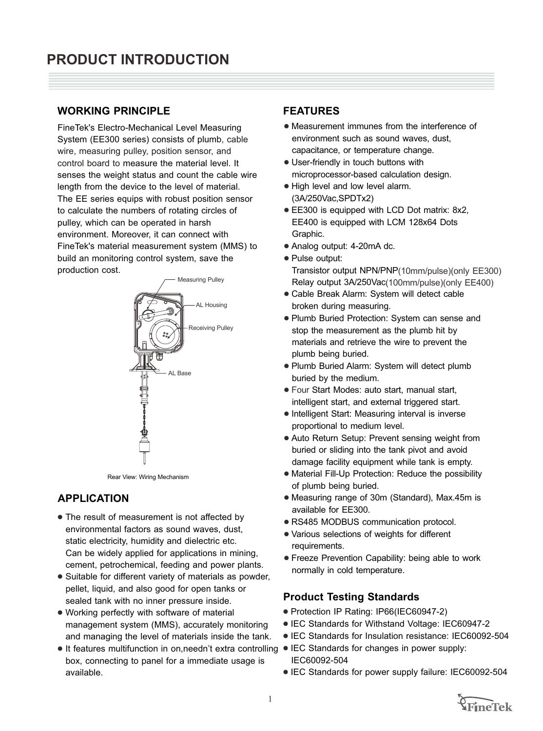#### **WORKING PRINCIPLE FEATURES**

 FiineTek's Electro-Mechanical Level Measuring System (EE300 series) consists of plumb , cable control board to measure the material level. It senses the weight status and count the cable wire length from the device to the level of material. The EE series equips with robust position sensor to calculate the numbers of rotating circles of pulley, which can be operated in harsh environment. Moreover, it can connect with FineTek's material measurement system (MMS) to build an monitoring control system, save the production cost. wire, measuring pulley, position sensor, and



Rear View: Wiring Mechanism

#### **APPLICATION**

- The result of measurement is not affected by environmental factors as sound waves, dust, static electricity, humidity and dielectric etc. Can be widely applied for applications in mining, cement, petrochemical, feeding and power plants.
- 1 Suitable for different variety of materials as powder, pellet, liquid, and also good for open tanks or sealed tank with no inner pressure inside.
- 1 Working perfectly with software of material management system (MMS), accurately monitoring and managing the level of materials inside the tank.
- It features multifunction in on,needn't extra controlling IEC Standards for changes in power supply: box, connecting to panel for a immediate usage is available.

- 1 Measurement immunes from the interference of environment such as sound waves, dust, capacitance, or temperature change.
- User-friendly in touch buttons with microprocessor-based calculation design.
- High level and low level alarm. (3A/250Vac,SPDTx2)
- EE300 is equipped with LCD Dot matrix: 8x2, EE400 is equipped with LCM 128x64 Dots Graphic.
- Analog output: 4-20mA dc.
- Pulse output: Transistor output NPN/PNP (10mm/pulse) (only EE300) Relay output 3A/250Vac (100mm/pulse) (only EE400)
- 1 Cable Break Alarm: System will detect cable broken during measuring.
- 1 Plumb Buried Protection: System can sense and stop the measurement as the plumb hit by materials and retrieve the wire to prevent the plumb being buried.
- Plumb Buried Alarm: System will detect plumb buried by the medium.
- 1 Four Start Modes: auto start, manual start, intelligent start, and external triggered start.
- Intelligent Start: Measuring interval is inverse proportional to medium level.
- Auto Return Setup: Prevent sensing weight from buried or sliding into the tank pivot and avoid damage facility equipment while tank is empty.
- Material Fill-Up Protection: Reduce the possibility of plumb being buried.
- Measuring range of 30m (Standard), Max.45m is available for EE300.
- RS485 MODBUS communication protocol.
- 1 Various selections of weights for different requirements.
- 1 Freeze Prevention Capability: being able to work normally in cold temperature.

#### **Product Testing Standards**

- Protection IP Rating: IP66(IEC60947-2)
- IEC Standards for Withstand Voltage: IEC60947-2
- IEC Standards for Insulation resistance: IEC60092-504
- IEC60092-504
- **IEC Standards for power supply failure: IEC60092-504**

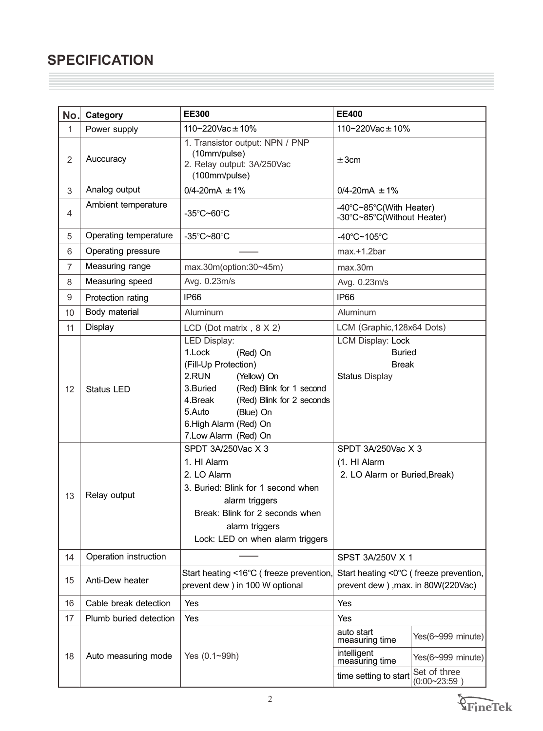## **SPECIFICATION**

| No.            | Category               | <b>EE300</b>                                                                                                                                                                                                                                       | <b>EE400</b>                                                                                                            |  |  |
|----------------|------------------------|----------------------------------------------------------------------------------------------------------------------------------------------------------------------------------------------------------------------------------------------------|-------------------------------------------------------------------------------------------------------------------------|--|--|
| 1              | Power supply           | 110~220Vac $\pm$ 10%                                                                                                                                                                                                                               | 110~220Vac $\pm$ 10%                                                                                                    |  |  |
| $\overline{2}$ | Auccuracy              | 1. Transistor output: NPN / PNP<br>(10mm/pulse)<br>2. Relay output: 3A/250Vac<br>(100mm/pulse)                                                                                                                                                     | ±3cm                                                                                                                    |  |  |
| 3              | Analog output          | $0/4 - 20mA \pm 1%$                                                                                                                                                                                                                                | $0/4 - 20mA \pm 1%$                                                                                                     |  |  |
| 4              | Ambient temperature    | $-35^{\circ}$ C~60 $^{\circ}$ C                                                                                                                                                                                                                    | -40°C~85°C(With Heater)<br>-30°C~85°C(Without Heater)                                                                   |  |  |
| 5              | Operating temperature  | -35°C~80°C                                                                                                                                                                                                                                         | -40 $\degree$ C~105 $\degree$ C                                                                                         |  |  |
| 6              | Operating pressure     |                                                                                                                                                                                                                                                    | $max.+1.2bar$                                                                                                           |  |  |
| 7              | Measuring range        | $max.30m($ option: $30 \sim 45m$ )                                                                                                                                                                                                                 | max.30m                                                                                                                 |  |  |
| 8              | Measuring speed        | Avg. 0.23m/s                                                                                                                                                                                                                                       | Avg. 0.23m/s                                                                                                            |  |  |
| 9              | Protection rating      | IP <sub>66</sub>                                                                                                                                                                                                                                   | IP66                                                                                                                    |  |  |
| 10             | Body material          | Aluminum                                                                                                                                                                                                                                           | Aluminum                                                                                                                |  |  |
| 11             | <b>Display</b>         | LCD (Dot matrix, $8 \times 2$ )                                                                                                                                                                                                                    | LCM (Graphic, 128x64 Dots)                                                                                              |  |  |
| 12             | <b>Status LED</b>      | <b>LED Display:</b><br>1.Lock<br>(Red) On<br>(Fill-Up Protection)<br>2.RUN<br>(Yellow) On<br>(Red) Blink for 1 second<br>3.Buried<br>(Red) Blink for 2 seconds<br>4.Break<br>5.Auto<br>(Blue) On<br>6. High Alarm (Red) On<br>7.Low Alarm (Red) On | <b>LCM Display: Lock</b><br><b>Buried</b><br><b>Break</b><br><b>Status Display</b>                                      |  |  |
| 13             | Relay output           | SPDT 3A/250Vac X 3<br>1. HI Alarm<br>2. LO Alarm<br>3. Buried: Blink for 1 second when<br>alarm triggers<br>Break: Blink for 2 seconds when<br>alarm triggers<br>Lock: LED on when alarm triggers                                                  | SPDT 3A/250Vac X 3<br>(1. HI Alarm<br>2. LO Alarm or Buried, Break)                                                     |  |  |
| 14             | Operation instruction  |                                                                                                                                                                                                                                                    | SPST 3A/250V X 1                                                                                                        |  |  |
| 15             | Anti-Dew heater        | Start heating <16°C (freeze prevention,<br>Start heating <0°C (freeze prevention,<br>prevent dew) in 100 W optional<br>prevent dew), max. in 80W(220Vac)                                                                                           |                                                                                                                         |  |  |
| 16             | Cable break detection  | Yes                                                                                                                                                                                                                                                | Yes                                                                                                                     |  |  |
| 17             | Plumb buried detection | Yes                                                                                                                                                                                                                                                | Yes                                                                                                                     |  |  |
| 18             | Auto measuring mode    | Yes (0.1~99h)                                                                                                                                                                                                                                      | auto start<br>Yes(6~999 minute)<br>measuring time<br>intelligent<br>Yes(6~999 minute)<br>measuring time<br>Set of three |  |  |
|                |                        |                                                                                                                                                                                                                                                    | time setting to start<br>(0:00~23:59)                                                                                   |  |  |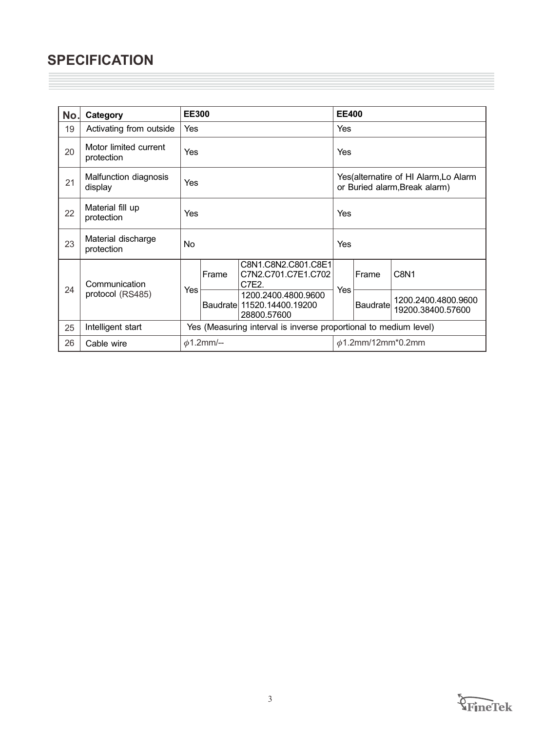## **SPECIFICATION**

| No. | Category                            | <b>EE300</b>                                                     |       |                                                                  | <b>EE400</b>            |                                                                        |                                          |  |
|-----|-------------------------------------|------------------------------------------------------------------|-------|------------------------------------------------------------------|-------------------------|------------------------------------------------------------------------|------------------------------------------|--|
| 19  | Activating from outside             | Yes                                                              |       |                                                                  | <b>Yes</b>              |                                                                        |                                          |  |
| 20  | Motor limited current<br>protection | Yes                                                              |       |                                                                  | Yes                     |                                                                        |                                          |  |
| 21  | Malfunction diagnosis<br>display    | Yes                                                              |       |                                                                  |                         | Yes(alternatire of HI Alarm, Lo Alarm<br>or Buried alarm, Break alarm) |                                          |  |
| 22  | Material fill up<br>protection      | Yes                                                              |       |                                                                  | Yes                     |                                                                        |                                          |  |
| 23  | Material discharge<br>protection    | No                                                               |       |                                                                  | Yes                     |                                                                        |                                          |  |
| 24  | Communication                       | Yes                                                              | Frame | C8N1.C8N2.C801.C8E1<br>C7N2.C701.C7E1.C702<br>C7E2.              | Yes                     | Frame                                                                  | C8N <sub>1</sub>                         |  |
|     | protocol (RS485)                    |                                                                  |       | 1200.2400.4800.9600<br>Baudrate 11520.14400.19200<br>28800.57600 |                         | <b>Baudrate</b>                                                        | 1200.2400.4800.9600<br>19200.38400.57600 |  |
| 25  | Intelligent start                   | Yes (Measuring interval is inverse proportional to medium level) |       |                                                                  |                         |                                                                        |                                          |  |
| 26  | Cable wire                          | $\phi$ 1.2mm/--                                                  |       |                                                                  | $\phi$ 1.2mm/12mm*0.2mm |                                                                        |                                          |  |

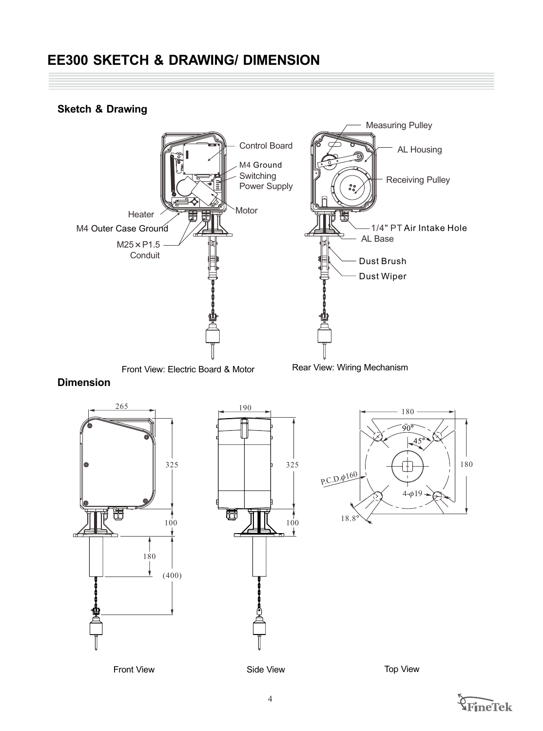## **EE300 SKETCH & DRAWING/ DIMENSION**

#### **Sketch & Drawing**



#### **Dimension**







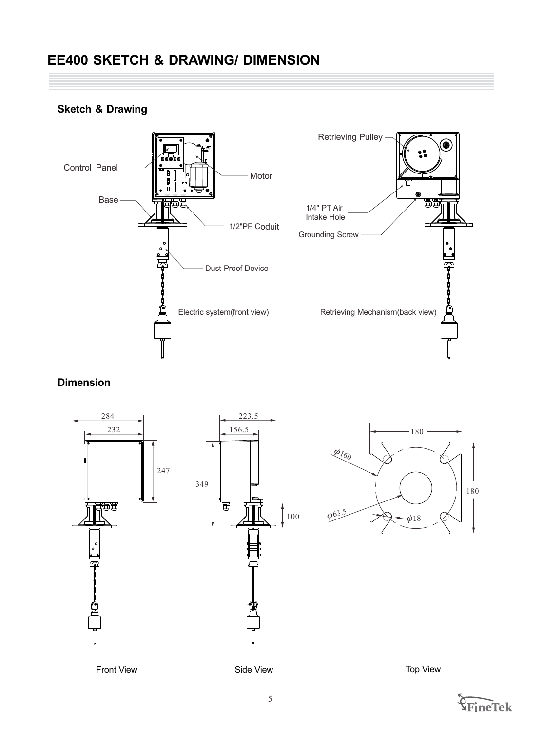## **EE400 SKETCH & DRAWING/ DIMENSION**



### **Sketch & Drawing**

#### **Dimension**



Front View **Side View Side View Contract Side View** Top View



180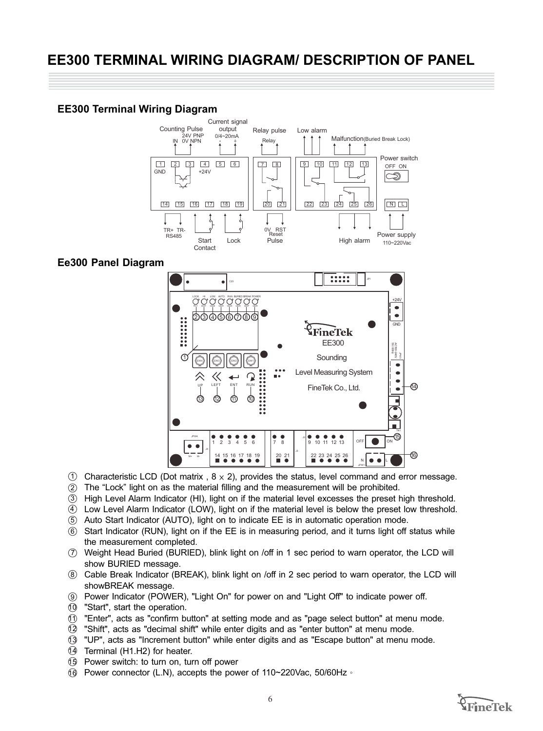#### **EE300 Terminal Wiring Diagram**



#### **Ee300 Panel Diagram**



- 1 Characteristic LCD (Dot matrix,  $8 \times 2$ ), provides the status, level command and error message.
- 2 The "Lock" light on as the material filling and the measurement will be prohibited.
- 3 High Level Alarm Indicator (HI), light on if the material level excesses the preset high threshold.
- $4)$  Low Level Alarm Indicator (LOW), light on if the material level is below the preset low threshold.
- 5 Auto Start Indicator (AUTO), light on to indicate EE is in automatic operation mode.
- $6$  Start Indicator (RUN), light on if the EE is in measuring period, and it turns light off status while the measurement completed.
- 7 Weight Head Buried (BURIED), blink light on /off in 1 sec period to warn operator, the LCD will show BURIED message.
- 8) Cable Break Indicator (BREAK), blink light on /off in 2 sec period to warn operator, the LCD will showBREAK message.
- 9 Power Indicator (POWER), "Light On" for power on and "Light Off" to indicate power off.
- 10 "Start", start the operation.
- $\textcircled{1}$  "Enter", acts as "confirm button" at setting mode and as "page select button" at menu mode.
- 12 "Shift", acts as "decimal shift" while enter digits and as "enter button" at menu mode.
- 13 "UP", acts as "Increment button" while enter digits and as "Escape button" at menu mode.
- 14 Terminal (H1.H2) for heater.
- 15 Power switch: to turn on, turn off power
- 16 Power connector (L.N), accepts the power of 110~220Vac, 50/60Hz。

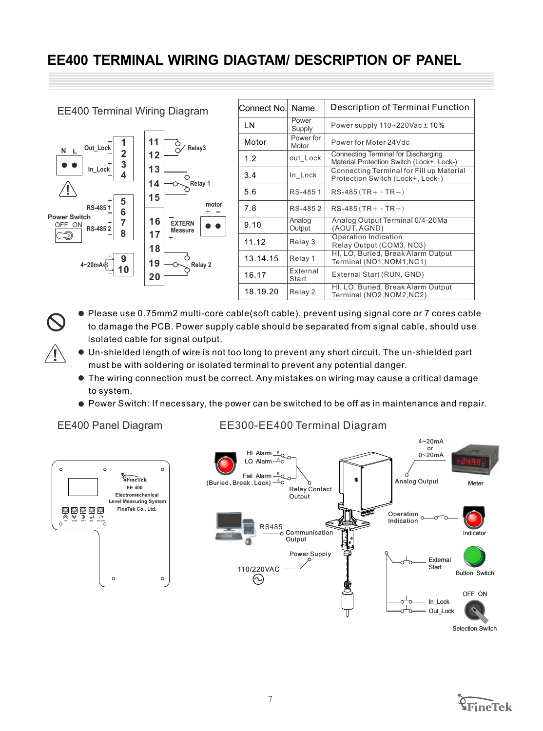## **EE400 TERMINAL WIRING DIAGTAM/ DESCRIPTION OF PANEL**

| <b>EE400 Terminal Wiring Diagram</b>          | Connect No.                                    | Name            | Description of Terminal Function        |                                                                                  |
|-----------------------------------------------|------------------------------------------------|-----------------|-----------------------------------------|----------------------------------------------------------------------------------|
|                                               | LN                                             | Power<br>Supply | Power supply $110 - 220$ Vac $\pm 10\%$ |                                                                                  |
| Out_Lock                                      | 11<br>Relay3                                   | Motor           | Power for<br>Motor                      | Power for Moter 24 Vdc                                                           |
| N L<br>3                                      | 12                                             | 1.2             | out Lock                                | Connecting Terminal for Discharging<br>Material Protection Switch (Lock+, Lock-) |
| In Lock                                       | 13<br>14<br>Relay 1                            | 3.4             | In Lock                                 | Connecting Terminal for Fill up Material<br>Protection Switch (Lock+, Lock-)     |
|                                               | 15                                             | 5.6             | RS-4851                                 | $RS-485(TR+ \cdot TR- )$                                                         |
| 5<br>RS-4851<br>6                             | motor<br>16<br><b>EXTERN</b><br><b>Measure</b> | 7.8             | RS-4852                                 | $RS-485(TR+ \cdot TR-)$                                                          |
| <b>Power Switch</b><br>OFF ON<br>RS-4852<br>8 |                                                | 9.10            | Analog<br>Output                        | Analog Output Terminal 0/4-20Ma<br>(AOUT, AGND)                                  |
|                                               | 17<br>$\ddot{}$<br>18                          | 11.12           | Relay 3                                 | Operation Indication<br>Relay Output (COM3, NO3)                                 |
| 9<br>4~20mA                                   | 19<br>Relay 2<br>20                            | 13.14.15        | Relay 1                                 | HI, LO, Buried, Break Alarm Output<br>Terminal (NO1, NOM1, NC1)                  |
|                                               |                                                | 16.17           | External<br>Start                       | External Start (RUN, GND)                                                        |
|                                               |                                                | 18.19.20        | Relay 2                                 | HI, LO, Buried, Break Alarm Output<br>Terminal (NO2, NOM2, NC2)                  |

- Please use 0.75mm2 multi-core cable(soft cable), prevent using signal core or 7 cores cable to damage the PCB. Power supply cable should be separated from signal cable, should use isolated cable for signal output.
- Un-shielded length of wire is not too long to prevent any short circuit. The un-shielded part must be with soldering or isolated terminal to prevent any potential danger.
- The wiring connection must be correct. Any mistakes on wiring may cause a critical damage to system.
- Power Switch: If necessary, the power can be switched to be off as in maintenance and repair.

#### EE400 Panel Diagram

 $\overline{\mathbf{1}}$ 

#### EE300-EE400 Terminal Diagram





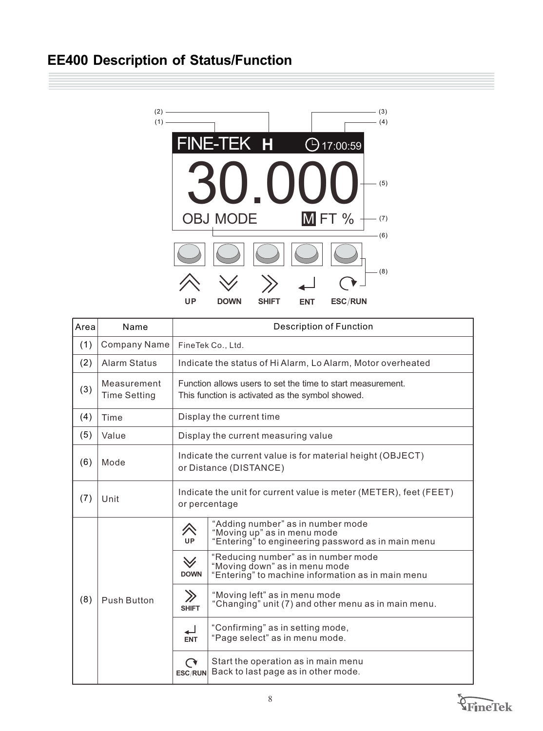## **EE400 Description of Status/Function**



| Area | Name                               | <b>Description of Function</b>                                                                                  |                                                                                                                           |  |  |
|------|------------------------------------|-----------------------------------------------------------------------------------------------------------------|---------------------------------------------------------------------------------------------------------------------------|--|--|
| (1)  | <b>Company Name</b>                | FineTek Co., Ltd.                                                                                               |                                                                                                                           |  |  |
| (2)  | <b>Alarm Status</b>                | Indicate the status of Hi Alarm, Lo Alarm, Motor overheated                                                     |                                                                                                                           |  |  |
| (3)  | Measurement<br><b>Time Setting</b> | Function allows users to set the time to start measurement.<br>This function is activated as the symbol showed. |                                                                                                                           |  |  |
| (4)  | Time                               |                                                                                                                 | Display the current time                                                                                                  |  |  |
| (5)  | Value                              | Display the current measuring value                                                                             |                                                                                                                           |  |  |
| (6)  | Mode                               | Indicate the current value is for material height (OBJECT)<br>or Distance (DISTANCE)                            |                                                                                                                           |  |  |
| (7)  | Unit                               | Indicate the unit for current value is meter (METER), feet (FEET)<br>or percentage                              |                                                                                                                           |  |  |
|      | <b>Push Button</b>                 | <i>へ</i><br><b>UP</b>                                                                                           | "Adding number" as in number mode<br>"Moving up" as in menu mode<br>"Entering" to engineering password as in main menu    |  |  |
|      |                                    | $\forall$<br><b>DOWN</b>                                                                                        | "Reducing number" as in number mode<br>"Moving down" as in menu mode<br>"Entering" to machine information as in main menu |  |  |
| (8)  |                                    | $\gg$<br><b>SHIFT</b>                                                                                           | "Moving left" as in menu mode<br>"Changing" unit (7) and other menu as in main menu.                                      |  |  |
|      |                                    | ↵<br><b>ENT</b>                                                                                                 | "Confirming" as in setting mode,<br>"Page select" as in menu mode.                                                        |  |  |
|      |                                    | $\mathbf\Omega$<br>ESC/RUN                                                                                      | Start the operation as in main menu<br>Back to last page as in other mode.                                                |  |  |

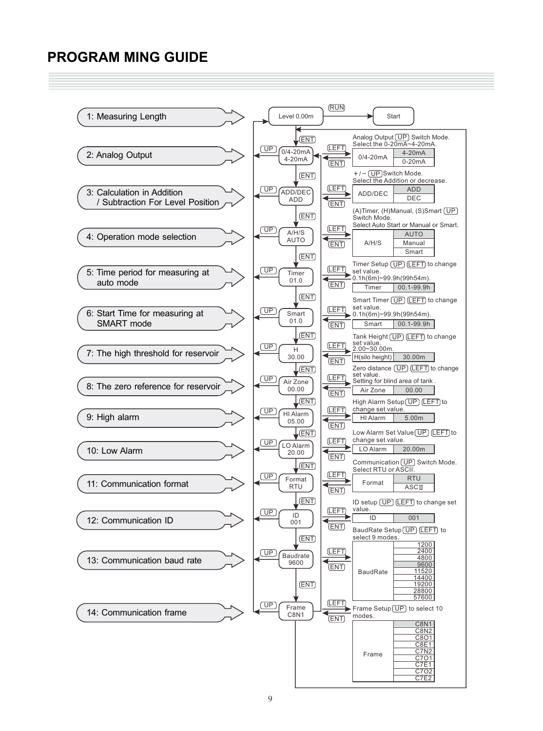## **PROGRAM MING GUIDE**

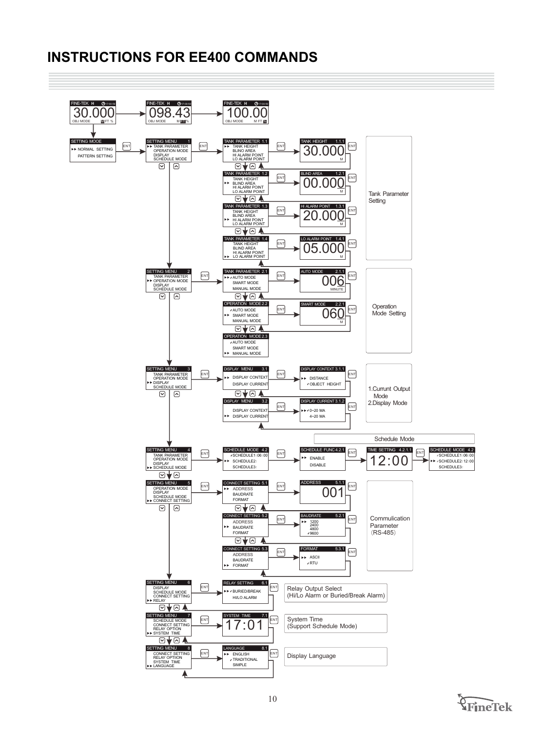## **INSTRUCTIONS FOR EE400 COMMANDS**



FineTek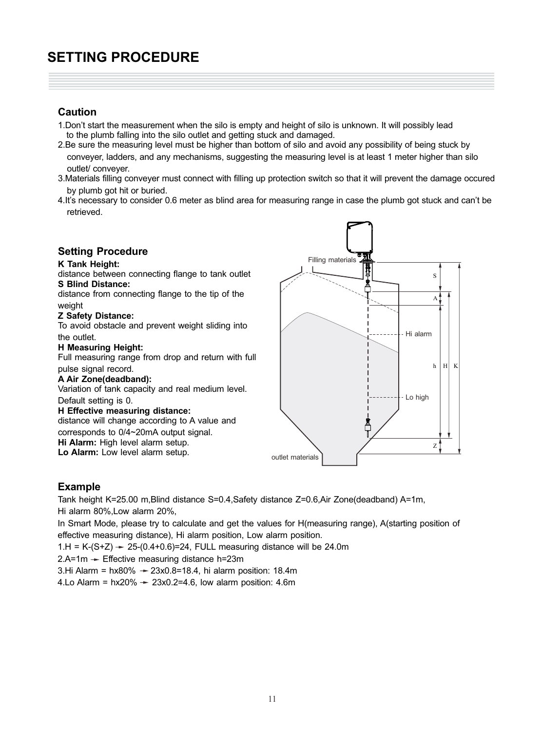## **SETTING PROCEDURE**

#### **Caution**

- 1. Don't start the measurement when the silo is empty and height of silo is unknown. It will possibly lead to the plumb falling into the silo outlet and getting stuck and damaged.
- 2.Be sure the measuring level must be higher than bottom of silo and avoid any possibility of being stuck by conveyer, ladders, and any mechanisms, suggesting the measuring level is at least 1 meter higher than silo outlet/ conveyer.
- 3.Materials filling conveyer must connect with filling up protection switch so that it will prevent the damage occured by plumb got hit or buried.
- 4.It's necessary to consider 0.6 meter as blind area for measuring range in case the plumb got stuck and can't be retrieved.

#### **Setting Procedure**

#### **K Tank Height:**

distance between connecting flange to tank outlet **S Blind Distance:**  distance from connecting flange to the tip of the weight

#### **Z Safety Distance:**

To avoid obstacle and prevent weight sliding into the outlet.

#### **H Measuring Height:**

Full measuring range from drop and return with full pulse signal record.

#### **A Air Zone(deadband):**

Variation of tank capacity and real medium level.

Default setting is 0.

#### **H Effective measuring distance:**

distance will change according to A value and corresponds to 0/4~20mA output signal. **Hi Alarm:** High level alarm setup.

**Lo Alarm:** Low level alarm setup.



#### **Example**

Tank height K=25.00 m,Blind distance S=0.4,Safety distance Z=0.6,Air Zone(deadband) A=1m, Hi alarm 80%,Low alarm 20%,

In Smart Mode, please try to calculate and get the values for H(measuring range), A(starting position of effective measuring distance), Hi alarm position, Low alarm position.

1.H = K-(S+Z)  $\rightarrow$  25-(0.4+0.6)=24, FULL measuring distance will be 24.0m

 $2.A=1m$   $\rightarrow$  Effective measuring distance h=23m

3.Hi Alarm =  $hx80\%$   $\rightarrow$  23x0.8=18.4, hi alarm position: 18.4m

4.Lo Alarm =  $hx20\%$   $\rightarrow$  23x0.2=4.6, low alarm position: 4.6m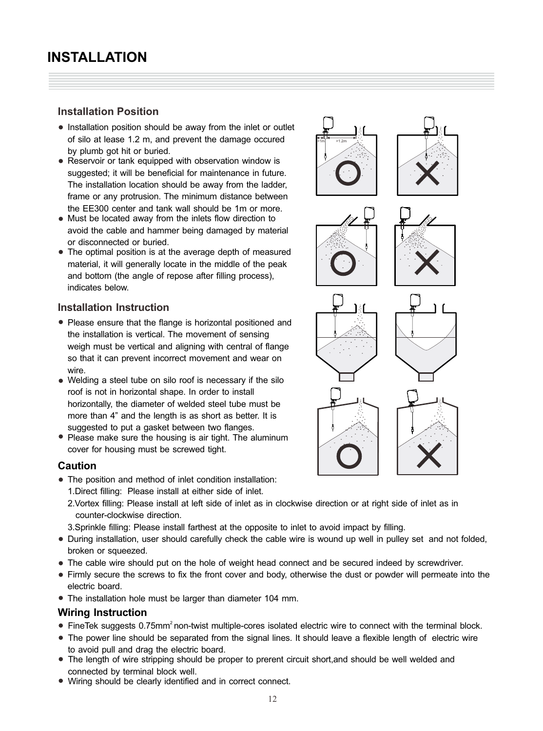#### **Installation Position**

- Installation position should be away from the inlet or outlet of silo at lease 1.2 m, and prevent the damage occured by plumb got hit or buried.
- Reservoir or tank equipped with observation window is suggested; it will be beneficial for maintenance in future. The installation location should be away from the ladder, frame or any protrusion. The minimum distance between the EE300 center and tank wall should be 1m or more.
- Must be located away from the inlets flow direction to avoid the cable and hammer being damaged by material or disconnected or buried.
- The optimal position is at the average depth of measured material, it will generally locate in the middle of the peak and bottom (the angle of repose after filling process), indicates below.

#### **Installation Instruction**

- Please ensure that the flange is horizontal positioned and the installation is vertical. The movement of sensing weigh must be vertical and aligning with central of flange so that it can prevent incorrect movement and wear on wire.
- Welding a steel tube on silo roof is necessary if the silo roof is not in horizontal shape. In order to install horizontally, the diameter of welded steel tube must be more than 4" and the length is as short as better. It is suggested to put a gasket between two flanges.
- Please make sure the housing is air tight. The aluminum cover for housing must be screwed tight.

#### **Caution**

- The position and method of inlet condition installation:
	- 1.Direct filling: Please install at either side of inlet.
	- 2.Vortex filling: Please install at left side of inlet as in clockwise direction or at right side of inlet as in counter-clockwise direction.
	- 3.Sprinkle filling: Please install farthest at the opposite to inlet to avoid impact by filling.
- During installation, user should carefully check the cable wire is wound up well in pulley set and not folded, broken or squeezed.
- The cable wire should put on the hole of weight head connect and be secured indeed by screwdriver.
- Firmly secure the screws to fix the front cover and body, otherwise the dust or powder will permeate into the electric board.
- The installation hole must be larger than diameter 104 mm.

#### **Wiring Instruction**

- FineTek suggests 0.75mm<sup>2</sup> non-twist multiple-cores isolated electric wire to connect with the terminal block.
- The power line should be separated from the signal lines. It should leave a flexible length of electric wire to avoid pull and drag the electric board.
- The length of wire stripping should be proper to prerent circuit short,and should be well welded and connected by terminal block well.
- Wiring should be clearly identified and in correct connect.

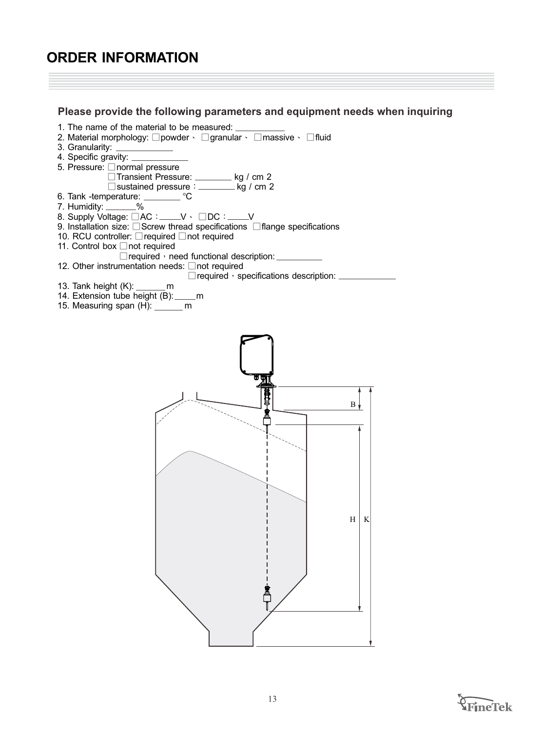## **ORDER INFORMATION**

#### **Please provide the following parameters and equipment needs when inquiring**



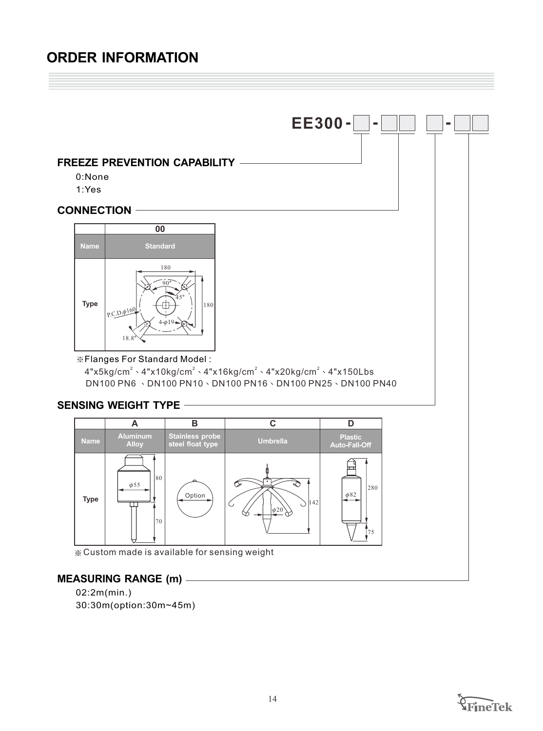## **ORDER INFORMATION**

#### **FREEZE PREVENTION CAPABILITY**

- 0:None
- 1:Yes

#### **CONNECTION**



#### ※ Flanges For Standard Model :

 $4$ "x5kg/cm $^2$   $\cdot$  4"x10kg/cm $^2$   $\cdot$  4"x16kg/cm $^2$   $\cdot$  4"x20kg/cm $^2$   $\cdot$  4"x150Lbs  $DN100$  PN6  $\,\cdot\,$  DN100 PN10  $\cdot$  DN100 PN16  $\cdot$  DN100 PN25  $\cdot$  DN100 PN40

**EE300 - - -**

#### **SENSING WEIGHT TYPE**



Custom made is available for sensing weight

#### **MEASURING RANGE (m)**

02:2m(min.) 30:30m(option:30m~45m)

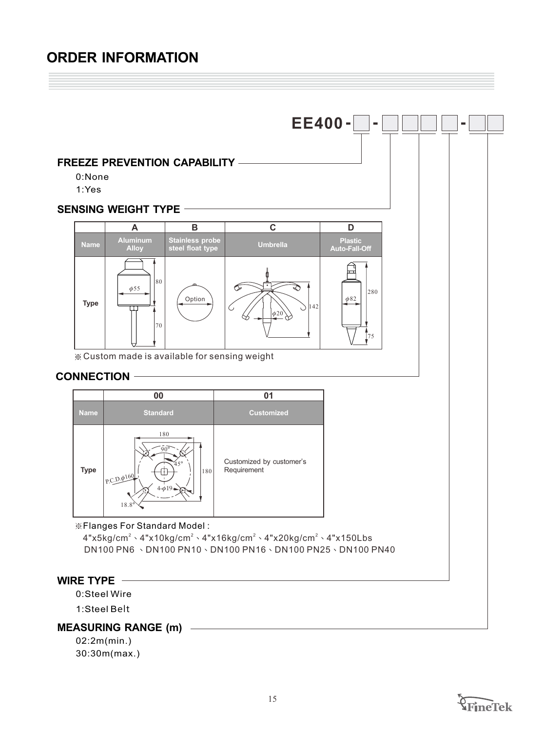## **ORDER INFORMATION**



02:2m(min.) 30:30m(max.)